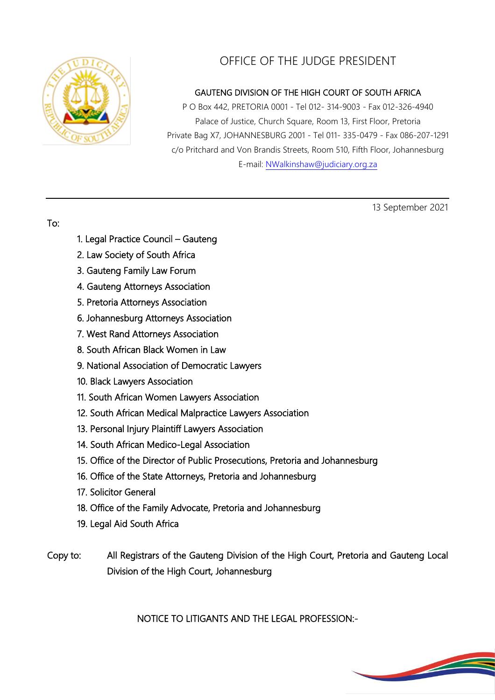

## OFFICE OF THE JUDGE PRESIDENT

## GAUTENG DIVISION OF THE HIGH COURT OF SOUTH AFRICA

P O Box 442, PRETORIA 0001 - Tel 012- 314-9003 - Fax 012-326-4940 Palace of Justice, Church Square, Room 13, First Floor, Pretoria Private Bag X7, JOHANNESBURG 2001 - Tel 011- 335-0479 - Fax 086-207-1291 c/o Pritchard and Von Brandis Streets, Room 510, Fifth Floor, Johannesburg E-mail: [NWalkinshaw@judiciary.org.za](mailto:NWalkinshaw@judiciary.org.za)

13 September 2021

## To:

- 1. Legal Practice Council Gauteng
- 2. Law Society of South Africa
- 3. Gauteng Family Law Forum
- 4. Gauteng Attorneys Association
- 5. Pretoria Attorneys Association
- 6. Johannesburg Attorneys Association
- 7. West Rand Attorneys Association
- 8. South African Black Women in Law
- 9. National Association of Democratic Lawyers
- 10. Black Lawyers Association
- 11. South African Women Lawyers Association
- 12. South African Medical Malpractice Lawyers Association
- 13. Personal Injury Plaintiff Lawyers Association
- 14. South African Medico-Legal Association
- 15. Office of the Director of Public Prosecutions, Pretoria and Johannesburg
- 16. Office of the State Attorneys, Pretoria and Johannesburg
- 17. Solicitor General
- 18. Office of the Family Advocate, Pretoria and Johannesburg
- 19. Legal Aid South Africa
- Copy to: All Registrars of the Gauteng Division of the High Court, Pretoria and Gauteng Local Division of the High Court, Johannesburg

NOTICE TO LITIGANTS AND THE LEGAL PROFESSION:-